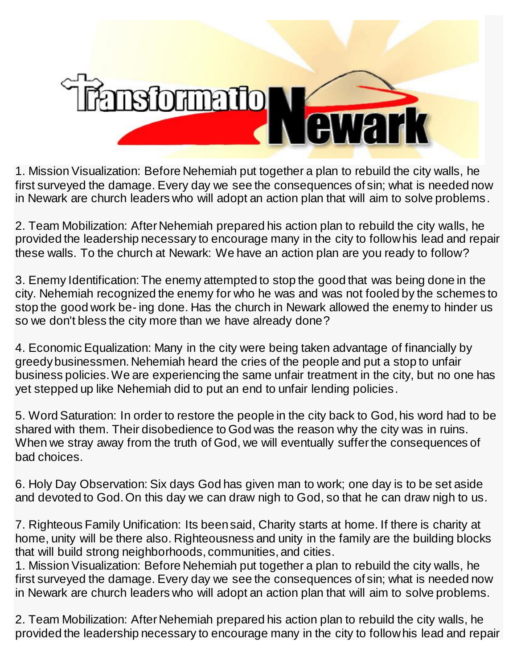

1. Mission Visualization: Before Nehemiah put together a plan to rebuild the city walls, he first surveyed the damage. Every day we see the consequences of sin; what is needed now in Newark are church leaders who will adopt an action plan that will aim to solve problems.

2. Team Mobilization: After Nehemiah prepared his action plan to rebuild the city walls, he provided the leadership necessary to encourage many in the city to follow his lead and repair these walls. To the church at Newark: We have an action plan are you ready to follow?

3. Enemy Identification: The enemy attempted to stop the good that was being done in the city. Nehemiah recognized the enemy for who he was and was not fooled by the schemes to stop the good work be- ing done. Has the church in Newark allowed the enemy to hinder us so we don't bless the city more than we have already done?

4. Economic Equalization: Many in the city were being taken advantage of financially by greedy businessmen. Nehemiah heard the cries of the people and put a stop to unfair business policies. We are experiencing the same unfair treatment in the city, but no one has yet stepped up like Nehemiah did to put an end to unfair lending policies.

5. Word Saturation: In order to restore the people in the city back to God, his word had to be shared with them. Their disobedience to God was the reason why the city was in ruins. When we stray away from the truth of God, we will eventually suffer the consequences of bad choices.

6. Holy Day Observation: Six days God has given man to work; one day is to be set aside and devoted to God. On this day we can draw nigh to God, so that he can draw nigh to us.

7. Righteous Family Unification: Its been said, Charity starts at home. If there is charity at home, unity will be there also. Righteousness and unity in the family are the building blocks that will build strong neighborhoods, communities, and cities.

1. Mission Visualization: Before Nehemiah put together a plan to rebuild the city walls, he first surveyed the damage. Every day we see the consequences of sin; what is needed now in Newark are church leaders who will adopt an action plan that will aim to solve problems.

2. Team Mobilization: After Nehemiah prepared his action plan to rebuild the city walls, he provided the leadership necessary to encourage many in the city to follow his lead and repair